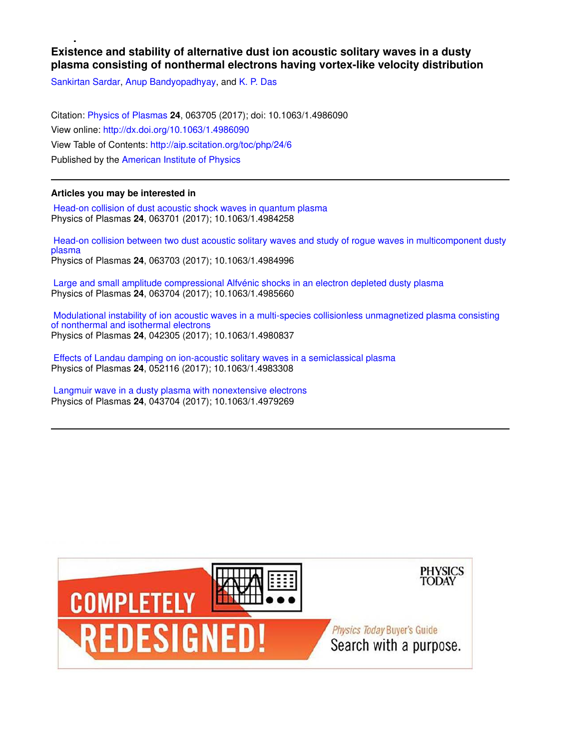# **Existence and stability of alternative dust ion acoustic solitary waves in a dusty plasma consisting of nonthermal electrons having vortex-like velocity distribution**

Sankirtan Sardar, Anup Bandyopadhyay, and K. P. Das

Citation: Physics of Plasmas **24**, 063705 (2017); doi: 10.1063/1.4986090 View online: http://dx.doi.org/10.1063/1.4986090 View Table of Contents: http://aip.scitation.org/toc/php/24/6 Published by the American Institute of Physics

## **Articles you may be interested in**

 Head-on collision of dust acoustic shock waves in quantum plasma Physics of Plasmas **24**, 063701 (2017); 10.1063/1.4984258

 Head-on collision between two dust acoustic solitary waves and study of rogue waves in multicomponent dusty plasma Physics of Plasmas **24**, 063703 (2017); 10.1063/1.4984996

 Large and small amplitude compressional Alfvénic shocks in an electron depleted dusty plasma Physics of Plasmas **24**, 063704 (2017); 10.1063/1.4985660

 Modulational instability of ion acoustic waves in a multi-species collisionless unmagnetized plasma consisting of nonthermal and isothermal electrons Physics of Plasmas **24**, 042305 (2017); 10.1063/1.4980837

 Effects of Landau damping on ion-acoustic solitary waves in a semiclassical plasma Physics of Plasmas **24**, 052116 (2017); 10.1063/1.4983308

 Langmuir wave in a dusty plasma with nonextensive electrons Physics of Plasmas **24**, 043704 (2017); 10.1063/1.4979269

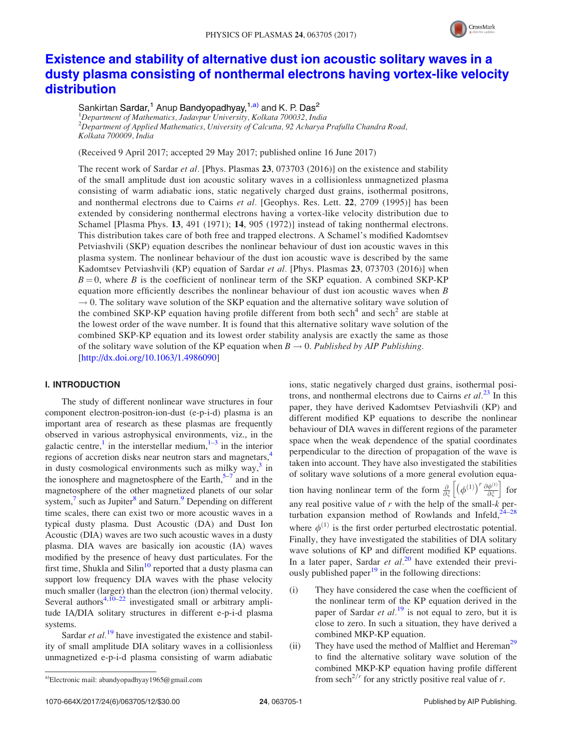

# Existence and stability of alternative dust ion acoustic solitary waves in a dusty plasma consisting of nonthermal electrons having vortex-like velocity distribution

Sankirtan Sardar,<sup>1</sup> Anup Bandyopadhyay,<sup>1,a)</sup> and K. P. Das<sup>2</sup>

<sup>1</sup>*Department of Mathematics, Jadavpur University, Kolkata 700032, India* <sup>2</sup>*Department of Applied Mathematics, University of Calcutta, 92 Acharya Prafulla Chandra Road, Kolkata 700009, India*

(Received 9 April 2017; accepted 29 May 2017; published online 16 June 2017)

The recent work of Sardar *et al.* [Phys. Plasmas 23, 073703 (2016)] on the existence and stability of the small amplitude dust ion acoustic solitary waves in a collisionless unmagnetized plasma consisting of warm adiabatic ions, static negatively charged dust grains, isothermal positrons, and nonthermal electrons due to Cairns *et al.* [Geophys. Res. Lett. 22, 2709 (1995)] has been extended by considering nonthermal electrons having a vortex-like velocity distribution due to Schamel [Plasma Phys. 13, 491 (1971); 14, 905 (1972)] instead of taking nonthermal electrons. This distribution takes care of both free and trapped electrons. A Schamel's modified Kadomtsev Petviashvili (SKP) equation describes the nonlinear behaviour of dust ion acoustic waves in this plasma system. The nonlinear behaviour of the dust ion acoustic wave is described by the same Kadomtsev Petviashvili (KP) equation of Sardar *et al.* [Phys. Plasmas 23, 073703 (2016)] when  $B = 0$ , where *B* is the coefficient of nonlinear term of the SKP equation. A combined SKP-KP equation more efficiently describes the nonlinear behaviour of dust ion acoustic waves when *B*  $\rightarrow$  0. The solitary wave solution of the SKP equation and the alternative solitary wave solution of the combined SKP-KP equation having profile different from both sech<sup>4</sup> and sech<sup>2</sup> are stable at the lowest order of the wave number. It is found that this alternative solitary wave solution of the combined SKP-KP equation and its lowest order stability analysis are exactly the same as those of the solitary wave solution of the KP equation when  $B \to 0$ . *Published by AIP Publishing.* [http://dx.doi.org/10.1063/1.4986090]

## I. INTRODUCTION

The study of different nonlinear wave structures in four component electron-positron-ion-dust (e-p-i-d) plasma is an important area of research as these plasmas are frequently observed in various astrophysical environments, viz., in the galactic centre,<sup>1</sup> in the interstellar medium, $1\rightarrow$ <sup>1</sup> in the interior regions of accretion disks near neutron stars and magnetars,<sup>4</sup> in dusty cosmological environments such as milky way, $3$  in the ionosphere and magnetosphere of the Earth,  $5-7$  and in the magnetosphere of the other magnetized planets of our solar system,<sup>7</sup> such as Jupiter<sup>8</sup> and Saturn.<sup>9</sup> Depending on different time scales, there can exist two or more acoustic waves in a typical dusty plasma. Dust Acoustic (DA) and Dust Ion Acoustic (DIA) waves are two such acoustic waves in a dusty plasma. DIA waves are basically ion acoustic (IA) waves modified by the presence of heavy dust particulates. For the first time, Shukla and Silin<sup>10</sup> reported that a dusty plasma can support low frequency DIA waves with the phase velocity much smaller (larger) than the electron (ion) thermal velocity. Several authors<sup>4,10–22</sup> investigated small or arbitrary amplitude IA/DIA solitary structures in different e-p-i-d plasma systems.

Sardar *et al.*<sup>19</sup> have investigated the existence and stability of small amplitude DIA solitary waves in a collisionless unmagnetized e-p-i-d plasma consisting of warm adiabatic trons, and nonthermal electrons due to Cairns *et al.*<sup>23</sup> In this paper, they have derived Kadomtsev Petviashvili (KP) and different modified KP equations to describe the nonlinear behaviour of DIA waves in different regions of the parameter space when the weak dependence of the spatial coordinates perpendicular to the direction of propagation of the wave is taken into account. They have also investigated the stabilities of solitary wave solutions of a more general evolution equation having nonlinear term of the form  $\frac{\partial}{\partial \xi} \left[ \left( \phi^{(1)} \right)^r \frac{\partial \phi^{(1)}}{\partial \xi} \right]$  $\left[\left(\phi^{(1)}\right)^r \frac{\partial \phi^{(1)}}{\partial \xi}\right]$  for any real positive value of *r* with the help of the small-*k* perturbation expansion method of Rowlands and Infeld, $24-28$ where  $\phi^{(1)}$  is the first order perturbed electrostatic potential. Finally, they have investigated the stabilities of DIA solitary wave solutions of KP and different modified KP equations. In a later paper, Sardar *et al.*<sup>20</sup> have extended their previously published paper $19$  in the following directions:

ions, static negatively charged dust grains, isothermal posi-

- (i) They have considered the case when the coefficient of the nonlinear term of the KP equation derived in the paper of Sardar *et al.*<sup>19</sup> is not equal to zero, but it is close to zero. In such a situation, they have derived a combined MKP-KP equation.
- (ii) They have used the method of Malfliet and Hereman<sup>29</sup> to find the alternative solitary wave solution of the combined MKP-KP equation having profile different from sech<sup> $2/r$ </sup> for any strictly positive real value of *r*.

a)Electronic mail: abandyopadhyay1965@gmail.com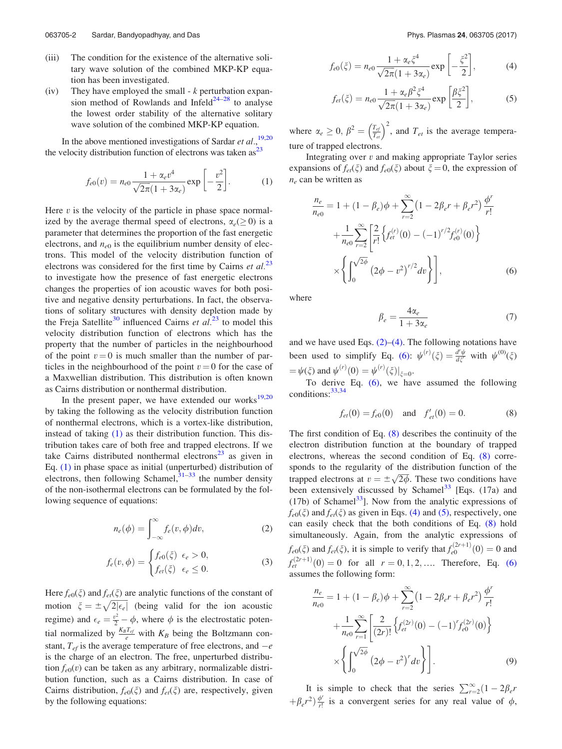- (iii) The condition for the existence of the alternative solitary wave solution of the combined MKP-KP equation has been investigated.
- (iv) They have employed the small *k* perturbation expansion method of Rowlands and Infeld<sup> $24-28$ </sup> to analyse the lowest order stability of the alternative solitary wave solution of the combined MKP-KP equation.

In the above mentioned investigations of Sardar *et al.*,<sup>19,20</sup> the velocity distribution function of electrons was taken  $as^{23}$ 

$$
f_{e0}(v) = n_{e0} \frac{1 + \alpha_e v^4}{\sqrt{2\pi}(1 + 3\alpha_e)} \exp\left[-\frac{v^2}{2}\right].
$$
 (1)

Here  $v$  is the velocity of the particle in phase space normalized by the average thermal speed of electrons,  $\alpha_e \geq 0$ ) is a parameter that determines the proportion of the fast energetic electrons, and  $n_{e0}$  is the equilibrium number density of electrons. This model of the velocity distribution function of electrons was considered for the first time by Cairns *et al.*<sup>23</sup> to investigate how the presence of fast energetic electrons changes the properties of ion acoustic waves for both positive and negative density perturbations. In fact, the observations of solitary structures with density depletion made by the Freja Satellite<sup>30</sup> influenced Cairns *et al.*<sup>23</sup> to model this velocity distribution function of electrons which has the property that the number of particles in the neighbourhood of the point  $v = 0$  is much smaller than the number of particles in the neighbourhood of the point  $v = 0$  for the case of a Maxwellian distribution. This distribution is often known as Cairns distribution or nonthermal distribution.

In the present paper, we have extended our works $19,20$ by taking the following as the velocity distribution function of nonthermal electrons, which is a vortex-like distribution, instead of taking  $(1)$  as their distribution function. This distribution takes care of both free and trapped electrons. If we take Cairns distributed nonthermal electrons<sup>23</sup> as given in Eq. (1) in phase space as initial (unperturbed) distribution of electrons, then following Schamel, $31-33$  the number density of the non-isothermal electrons can be formulated by the following sequence of equations:

$$
n_e(\phi) = \int_{-\infty}^{\infty} f_e(v, \phi) dv,
$$
 (2)

$$
f_e(v,\phi) = \begin{cases} f_{e0}(\xi) & \epsilon_e > 0, \\ f_{et}(\xi) & \epsilon_e \le 0. \end{cases}
$$
 (3)

Here  $f_{e0}(\xi)$  and  $f_{et}(\xi)$  are analytic functions of the constant of motion  $\xi = \pm \sqrt{2|\epsilon_e|}$  (being valid for the ion acoustic regime) and  $\epsilon_e = \frac{v^2}{2} - \phi$ , where  $\phi$  is the electrostatic potential normalized by  $\frac{K_B T_{cf}}{e}$  with  $K_B$  being the Boltzmann constant,  $T_{ef}$  is the average temperature of free electrons, and  $-e$ is the charge of an electron. The free, unperturbed distribution  $f_{e0}(v)$  can be taken as any arbitrary, normalizable distribution function, such as a Cairns distribution. In case of Cairns distribution,  $f_{e0}(\xi)$  and  $f_{et}(\xi)$  are, respectively, given by the following equations:

$$
f_{e0}(\xi) = n_{e0} \frac{1 + \alpha_e \xi^4}{\sqrt{2\pi}(1 + 3\alpha_e)} \exp\left[-\frac{\xi^2}{2}\right],\tag{4}
$$

$$
f_{\text{et}}(\xi) = n_{\text{e}0} \frac{1 + \alpha_{\text{e}} \beta^2 \xi^4}{\sqrt{2\pi} (1 + 3\alpha_{\text{e}})} \exp\left[\frac{\beta \xi^2}{2}\right],\tag{5}
$$

where  $\alpha_e \geq 0$ ,  $\beta^2 = \left(\frac{T_{ef}}{T_{ef}}\right)^2$ , and  $T_{et}$  is the average temperature of trapped electrons.

Integrating over  $v$  and making appropriate Taylor series expansions of  $f_{et}(\xi)$  and  $f_{e0}(\xi)$  about  $\xi = 0$ , the expression of *n<sup>e</sup>* can be written as

$$
\frac{n_e}{n_{e0}} = 1 + (1 - \beta_e)\phi + \sum_{r=2}^{\infty} (1 - 2\beta_e r + \beta_e r^2) \frac{\phi^r}{r!} + \frac{1}{n_{e0}} \sum_{r=2}^{\infty} \left[ \frac{2}{r!} \left\{ f_{et}^{(r)}(0) - (-1)^{r/2} f_{e0}^{(r)}(0) \right\} \right] \times \left\{ \int_0^{\sqrt{2\phi}} \left( 2\phi - v^2 \right)^{r/2} dv \right\} \right],
$$
 (6)

where

$$
\beta_e = \frac{4\alpha_e}{1 + 3\alpha_e} \tag{7}
$$

and we have used Eqs.  $(2)$ – $(4)$ . The following notations have been used to simplify Eq. (6):  $\psi^{(r)}(\xi) = \frac{d^r \psi}{d\xi^r}$  with  $\psi^{(0)}(\xi)$  $= \psi(\xi)$  and  $\psi^{(r)}(0) = \psi^{(r)}(\xi)|_{\xi=0}$ .

To derive Eq. (6), we have assumed the following conditions:  $33,34$ 

$$
f_{et}(0) = f_{e0}(0)
$$
 and  $f'_{et}(0) = 0.$  (8)

The first condition of Eq. (8) describes the continuity of the electron distribution function at the boundary of trapped electrons, whereas the second condition of Eq. (8) corresponds to the regularity of the distribution function of the trapped electrons at  $v = \pm \sqrt{2\phi}$ . These two conditions have been extensively discussed by Schamel<sup>33</sup> [Eqs. (17a) and (17b) of Schamel<sup>33</sup>. Now from the analytic expressions of  $f_{e0}(\xi)$  and  $f_{et}(\xi)$  as given in Eqs. (4) and (5), respectively, one can easily check that the both conditions of Eq. (8) hold simultaneously. Again, from the analytic expressions of  $f_{e0}(\xi)$  and  $f_{et}(\xi)$ , it is simple to verify that  $f_{e0}^{(2r+1)}(0) = 0$  and  $f_{et}^{(2r+1)}(0) = 0$  for all  $r = 0, 1, 2, ...$  Therefore, Eq. (6) assumes the following form:

$$
\frac{n_e}{n_{e0}} = 1 + (1 - \beta_e)\phi + \sum_{r=2}^{\infty} \left(1 - 2\beta_e r + \beta_e r^2\right) \frac{\phi^r}{r!} + \frac{1}{n_{e0}} \sum_{r=1}^{\infty} \left[\frac{2}{(2r)!} \left\{f_{et}^{(2r)}(0) - (-1)^r f_{e0}^{(2r)}(0)\right\} \right] \times \left\{\int_0^{\sqrt{2\phi}} \left(2\phi - v^2\right)^r dv\right\}.
$$
\n(9)

It is simple to check that the series  $\sum_{r=2}^{\infty} (1 - 2\beta_e r)$  $+\beta_e r^2 \frac{\phi'}{r!}$  is a convergent series for any real value of  $\phi$ ,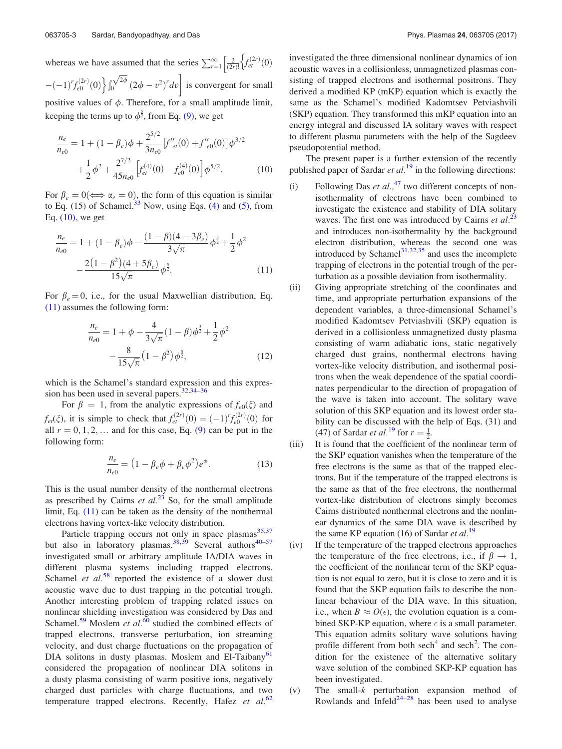whereas we have assumed that the series  $\sum_{r=1}^{\infty} \left[ \frac{2}{(2r)!} \oint_{et} f_{et}^{(2r)}(0) \right]$  $-(-1)^r f_{e0}^{(2r)}(0) \partial_t^{\sqrt{2\phi}}$  $\int_0^{\sqrt{2\phi}} (2\phi - v^2)^r dv$  is convergent for small positive values of  $\phi$ . Therefore, for a small amplitude limit, keeping the terms up to  $\phi^{\frac{5}{2}}$ , from Eq. (9), we get

$$
\frac{n_e}{n_{e0}} = 1 + (1 - \beta_e)\phi + \frac{2^{5/2}}{3n_{e0}} \left[ f''_{et}(0) + f''_{e0}(0) \right] \phi^{3/2}
$$

$$
+ \frac{1}{2} \phi^2 + \frac{2^{7/2}}{45n_{e0}} \left[ f^{(4)}_{et}(0) - f^{(4)}_{e0}(0) \right] \phi^{5/2}.
$$
(10)

For  $\beta_e = 0 \implies \alpha_e = 0$ , the form of this equation is similar to Eq.  $(15)$  of Schamel.<sup>33</sup> Now, using Eqs.  $(4)$  and  $(5)$ , from Eq. (10), we get

$$
\frac{n_e}{n_{e0}} = 1 + (1 - \beta_e)\phi - \frac{(1 - \beta)(4 - 3\beta_e)}{3\sqrt{\pi}}\phi^{\frac{3}{2}} + \frac{1}{2}\phi^2
$$

$$
-\frac{2(1 - \beta^2)(4 + 5\beta_e)}{15\sqrt{\pi}}\phi^{\frac{5}{2}}.
$$
(11)

For  $\beta_e = 0$ , i.e., for the usual Maxwellian distribution, Eq. (11) assumes the following form:

$$
\frac{n_e}{n_{e0}} = 1 + \phi - \frac{4}{3\sqrt{\pi}} (1 - \beta) \phi^{\frac{3}{2}} + \frac{1}{2} \phi^2
$$

$$
- \frac{8}{15\sqrt{\pi}} (1 - \beta^2) \phi^{\frac{5}{2}},
$$
(12)

which is the Schamel's standard expression and this expression has been used in several papers. $32,34-36$ 

For  $\beta = 1$ , from the analytic expressions of  $f_{e0}(\xi)$  and  $f_{et}(\xi)$ , it is simple to check that  $f_{et}^{(2r)}(0) = (-1)^r f_{e0}^{(2r)}(0)$  for all  $r = 0, 1, 2, \dots$  and for this case, Eq. (9) can be put in the following form:

$$
\frac{n_e}{n_{e0}} = \left(1 - \beta_e \phi + \beta_e \phi^2\right) e^{\phi}.\tag{13}
$$

This is the usual number density of the nonthermal electrons as prescribed by Cairns  $et$   $al.^{23}$  So, for the small amplitude limit, Eq. (11) can be taken as the density of the nonthermal electrons having vortex-like velocity distribution.

Particle trapping occurs not only in space plasmas<sup>35,37</sup> but also in laboratory plasmas.<sup>38,39</sup> Several authors<sup>40-57</sup> investigated small or arbitrary amplitude IA/DIA waves in different plasma systems including trapped electrons. Schamel *et al.*<sup>58</sup> reported the existence of a slower dust acoustic wave due to dust trapping in the potential trough. Another interesting problem of trapping related issues on nonlinear shielding investigation was considered by Das and Schamel.<sup>59</sup> Moslem *et al.*<sup>60</sup> studied the combined effects of trapped electrons, transverse perturbation, ion streaming velocity, and dust charge fluctuations on the propagation of DIA solitons in dusty plasmas. Moslem and El-Taibany<sup>61</sup> considered the propagation of nonlinear DIA solitons in a dusty plasma consisting of warm positive ions, negatively charged dust particles with charge fluctuations, and two temperature trapped electrons. Recently, Hafez *et al.*<sup>62</sup> investigated the three dimensional nonlinear dynamics of ion acoustic waves in a collisionless, unmagnetized plasmas consisting of trapped electrons and isothermal positrons. They derived a modified KP (mKP) equation which is exactly the same as the Schamel's modified Kadomtsev Petviashvili (SKP) equation. They transformed this mKP equation into an energy integral and discussed IA solitary waves with respect to different plasma parameters with the help of the Sagdeev pseudopotential method.

The present paper is a further extension of the recently published paper of Sardar *et al.*<sup>19</sup> in the following directions:

- (i) Following Das *et al.*, $\frac{47}{1}$  two different concepts of nonisothermality of electrons have been combined to investigate the existence and stability of DIA solitary waves. The first one was introduced by Cairns *et al.*<sup>23</sup> and introduces non-isothermality by the background electron distribution, whereas the second one was introduced by Schamel $31,32,35$  and uses the incomplete trapping of electrons in the potential trough of the perturbation as a possible deviation from isothermality.
- (ii) Giving appropriate stretching of the coordinates and time, and appropriate perturbation expansions of the dependent variables, a three-dimensional Schamel's modified Kadomtsev Petviashvili (SKP) equation is derived in a collisionless unmagnetized dusty plasma consisting of warm adiabatic ions, static negatively charged dust grains, nonthermal electrons having vortex-like velocity distribution, and isothermal positrons when the weak dependence of the spatial coordinates perpendicular to the direction of propagation of the wave is taken into account. The solitary wave solution of this SKP equation and its lowest order stability can be discussed with the help of Eqs. (31) and (47) of Sardar *et al.*<sup>19</sup> for  $r = \frac{1}{2}$ .
- (iii) It is found that the coefficient of the nonlinear term of the SKP equation vanishes when the temperature of the free electrons is the same as that of the trapped electrons. But if the temperature of the trapped electrons is the same as that of the free electrons, the nonthermal vortex-like distribution of electrons simply becomes Cairns distributed nonthermal electrons and the nonlinear dynamics of the same DIA wave is described by the same KP equation (16) of Sardar *et al.*<sup>19</sup>
- (iv) If the temperature of the trapped electrons approaches the temperature of the free electrons, i.e., if  $\beta \rightarrow 1$ , the coefficient of the nonlinear term of the SKP equation is not equal to zero, but it is close to zero and it is found that the SKP equation fails to describe the nonlinear behaviour of the DIA wave. In this situation, i.e., when  $B \approx O(\epsilon)$ , the evolution equation is a combined SKP-KP equation, where  $\epsilon$  is a small parameter. This equation admits solitary wave solutions having profile different from both sech<sup>4</sup> and sech<sup>2</sup>. The condition for the existence of the alternative solitary wave solution of the combined SKP-KP equation has been investigated.
- (v) The small-*k* perturbation expansion method of Rowlands and Infeld $^{24-28}$  has been used to analyse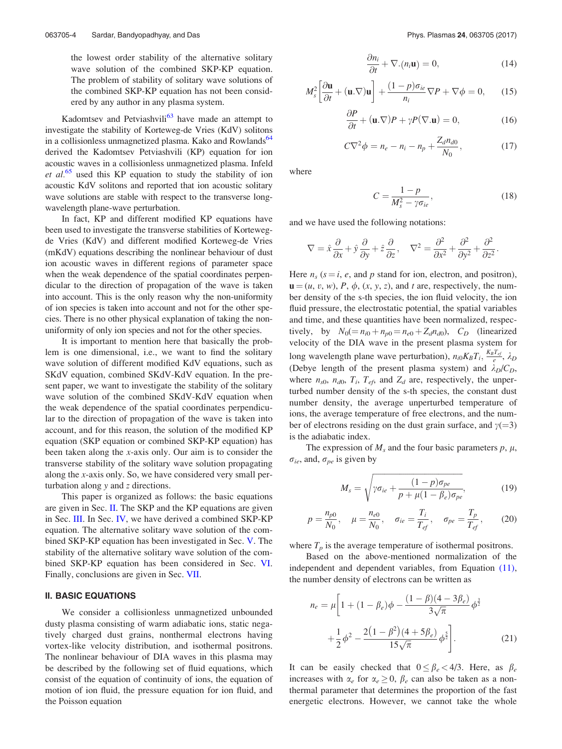the lowest order stability of the alternative solitary wave solution of the combined SKP-KP equation. The problem of stability of solitary wave solutions of the combined SKP-KP equation has not been considered by any author in any plasma system.

Kadomtsev and Petviashvili<sup>63</sup> have made an attempt to investigate the stability of Korteweg-de Vries (KdV) solitons in a collisionless unmagnetized plasma. Kako and Rowlands<sup>64</sup> derived the Kadomtsev Petviashvili (KP) equation for ion acoustic waves in a collisionless unmagnetized plasma. Infeld *et al.*<sup>65</sup> used this KP equation to study the stability of ion acoustic KdV solitons and reported that ion acoustic solitary wave solutions are stable with respect to the transverse longwavelength plane-wave perturbation.

In fact, KP and different modified KP equations have been used to investigate the transverse stabilities of Kortewegde Vries (KdV) and different modified Korteweg-de Vries (mKdV) equations describing the nonlinear behaviour of dust ion acoustic waves in different regions of parameter space when the weak dependence of the spatial coordinates perpendicular to the direction of propagation of the wave is taken into account. This is the only reason why the non-uniformity of ion species is taken into account and not for the other species. There is no other physical explanation of taking the nonuniformity of only ion species and not for the other species.

It is important to mention here that basically the problem is one dimensional, i.e., we want to find the solitary wave solution of different modified KdV equations, such as SKdV equation, combined SKdV-KdV equation. In the present paper, we want to investigate the stability of the solitary wave solution of the combined SKdV-KdV equation when the weak dependence of the spatial coordinates perpendicular to the direction of propagation of the wave is taken into account, and for this reason, the solution of the modified KP equation (SKP equation or combined SKP-KP equation) has been taken along the *x*-axis only. Our aim is to consider the transverse stability of the solitary wave solution propagating along the *x*-axis only. So, we have considered very small perturbation along *y* and *z* directions.

This paper is organized as follows: the basic equations are given in Sec. II. The SKP and the KP equations are given in Sec. III. In Sec. IV, we have derived a combined SKP-KP equation. The alternative solitary wave solution of the combined SKP-KP equation has been investigated in Sec. V. The stability of the alternative solitary wave solution of the combined SKP-KP equation has been considered in Sec. VI. Finally, conclusions are given in Sec. VII.

### II. BASIC EQUATIONS

We consider a collisionless unmagnetized unbounded dusty plasma consisting of warm adiabatic ions, static negatively charged dust grains, nonthermal electrons having vortex-like velocity distribution, and isothermal positrons. The nonlinear behaviour of DIA waves in this plasma may be described by the following set of fluid equations, which consist of the equation of continuity of ions, the equation of motion of ion fluid, the pressure equation for ion fluid, and the Poisson equation

$$
\frac{\partial n_i}{\partial t} + \nabla \cdot (n_i \mathbf{u}) = 0,\tag{14}
$$

$$
M_s^2 \left[ \frac{\partial \mathbf{u}}{\partial t} + (\mathbf{u}.\nabla)\mathbf{u} \right] + \frac{(1-p)\sigma_{ie}}{n_i} \nabla P + \nabla \phi = 0, \qquad (15)
$$

$$
\frac{\partial P}{\partial t} + (\mathbf{u}.\nabla)P + \gamma P(\nabla.\mathbf{u}) = 0,\tag{16}
$$

$$
C\nabla^2 \phi = n_e - n_i - n_p + \frac{Z_d n_{d0}}{N_0},\tag{17}
$$

where

$$
C = \frac{1 - p}{M_s^2 - \gamma \sigma_{ie}},\tag{18}
$$

and we have used the following notations:

$$
\nabla = \hat{x}\frac{\partial}{\partial x} + \hat{y}\frac{\partial}{\partial y} + \hat{z}\frac{\partial}{\partial z}, \quad \nabla^2 = \frac{\partial^2}{\partial x^2} + \frac{\partial^2}{\partial y^2} + \frac{\partial^2}{\partial z^2}.
$$

Here  $n_s$  ( $s = i$ ,  $e$ , and  $p$  stand for ion, electron, and positron),  $\mathbf{u} = (u, v, w), P, \phi, (x, y, z),$  and *t* are, respectively, the number density of the s-th species, the ion fluid velocity, the ion fluid pressure, the electrostatic potential, the spatial variables and time, and these quantities have been normalized, respectively, by  $N_0 (= n_{i0} + n_{p0} = n_{e0} + Z_d n_{d0})$ ,  $C_D$  (linearized velocity of the DIA wave in the present plasma system for long wavelength plane wave perturbation),  $n_{i0}K_BT_i$ ,  $\frac{K_BT_{ej}}{e}$  $\frac{\partial^I e f}{\partial c}$ ,  $\lambda_D$ (Debye length of the present plasma system) and  $\lambda_D/C_D$ , where  $n_{s0}$ ,  $n_{d0}$ ,  $T_i$ ,  $T_{ef}$ , and  $Z_d$  are, respectively, the unperturbed number density of the s-th species, the constant dust number density, the average unperturbed temperature of ions, the average temperature of free electrons, and the number of electrons residing on the dust grain surface, and  $\gamma(=3)$ is the adiabatic index.

The expression of  $M_s$  and the four basic parameters  $p, \mu$ ,  $\sigma_{ie}$ , and,  $\sigma_{pe}$  is given by

$$
M_s = \sqrt{\gamma \sigma_{ie} + \frac{(1-p)\sigma_{pe}}{p + \mu(1-\beta_e)\sigma_{pe}}},\tag{19}
$$

$$
p = \frac{n_{p0}}{N_0}, \quad \mu = \frac{n_{e0}}{N_0}, \quad \sigma_{ie} = \frac{T_i}{T_{ef}}, \quad \sigma_{pe} = \frac{T_p}{T_{ef}}, \quad (20)
$$

where  $T_p$  is the average temperature of isothermal positrons.

Based on the above-mentioned normalization of the independent and dependent variables, from Equation (11), the number density of electrons can be written as

$$
n_e = \mu \left[ 1 + (1 - \beta_e) \phi - \frac{(1 - \beta)(4 - 3\beta_e)}{3\sqrt{\pi}} \phi^{\frac{3}{2}} + \frac{1}{2} \phi^2 - \frac{2(1 - \beta^2)(4 + 5\beta_e)}{15\sqrt{\pi}} \phi^{\frac{5}{2}} \right].
$$
 (21)

It can be easily checked that  $0 \leq \beta_e < 4/3$ . Here, as  $\beta_e$ increases with  $\alpha_e$  for  $\alpha_e \geq 0$ ,  $\beta_e$  can also be taken as a nonthermal parameter that determines the proportion of the fast energetic electrons. However, we cannot take the whole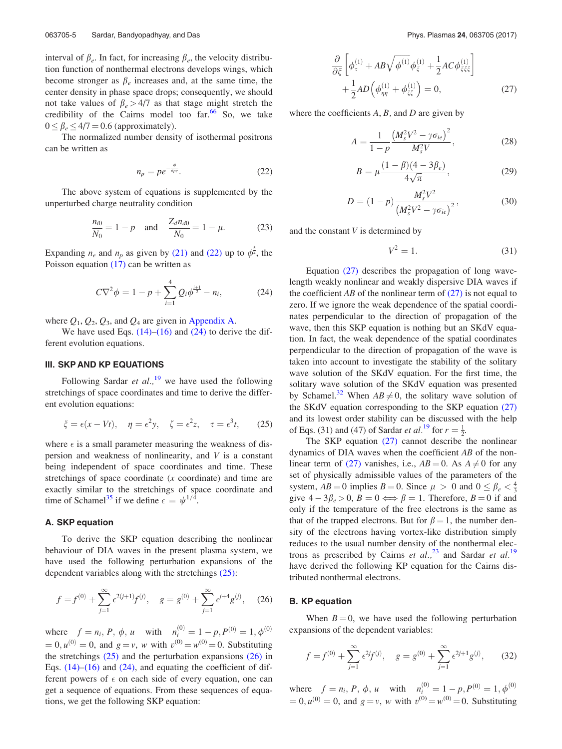interval of  $\beta_e$ . In fact, for increasing  $\beta_e$ , the velocity distribution function of nonthermal electrons develops wings, which become stronger as  $\beta_e$  increases and, at the same time, the center density in phase space drops; consequently, we should not take values of  $\beta_e > 4/7$  as that stage might stretch the credibility of the Cairns model too far. $66$  So, we take  $0 \le \beta_e \le 4/7 = 0.6$  (approximately).

The normalized number density of isothermal positrons can be written as

$$
n_p = p e^{-\frac{\phi}{\sigma_{pe}}}.
$$
 (22)

The above system of equations is supplemented by the unperturbed charge neutrality condition

$$
\frac{n_{i0}}{N_0} = 1 - p \quad \text{and} \quad \frac{Z_d n_{d0}}{N_0} = 1 - \mu. \tag{23}
$$

Expanding  $n_e$  and  $n_p$  as given by (21) and (22) up to  $\phi^{\frac{5}{2}}$ , the Poisson equation (17) can be written as

$$
C\nabla^2 \phi = 1 - p + \sum_{i=1}^4 Q_i \phi^{\frac{i+1}{2}} - n_i,
$$
 (24)

where  $Q_1$ ,  $Q_2$ ,  $Q_3$ , and  $Q_4$  are given in Appendix A.

We have used Eqs.  $(14)$ – $(16)$  and  $(24)$  to derive the different evolution equations.

### III. SKP AND KP EQUATIONS

Following Sardar *et al.*,<sup>19</sup> we have used the following stretchings of space coordinates and time to derive the different evolution equations:

$$
\xi = \epsilon(x - Vt), \quad \eta = \epsilon^2 y, \quad \zeta = \epsilon^2 z, \quad \tau = \epsilon^3 t,
$$
 (25)

where  $\epsilon$  is a small parameter measuring the weakness of dispersion and weakness of nonlinearity, and *V* is a constant being independent of space coordinates and time. These stretchings of space coordinate (*x* coordinate) and time are exactly similar to the stretchings of space coordinate and time of Schamel<sup>35</sup> if we define  $\epsilon = \psi^{1/\bar{4}}$ .

### A. SKP equation

To derive the SKP equation describing the nonlinear behaviour of DIA waves in the present plasma system, we have used the following perturbation expansions of the dependent variables along with the stretchings (25):

$$
f = f^{(0)} + \sum_{j=1}^{\infty} \epsilon^{2(j+1)} f^{(j)}, \quad g = g^{(0)} + \sum_{j=1}^{\infty} e^{j+4} g^{(j)}, \quad (26)
$$

where  $f = n_i, P, \phi, u$  with  $n_i^{(0)} = 1 - p, P^{(0)} = 1, \phi^{(0)}$  $y = 0, u^{(0)} = 0$ , and  $g = v$ , *w* with  $v^{(0)} = w^{(0)} = 0$ . Substituting the stretchings  $(25)$  and the perturbation expansions  $(26)$  in Eqs.  $(14)$ – $(16)$  and  $(24)$ , and equating the coefficient of different powers of  $\epsilon$  on each side of every equation, one can get a sequence of equations. From these sequences of equations, we get the following SKP equation:

$$
\frac{\partial}{\partial \xi} \left[ \phi_{\tau}^{(1)} + AB \sqrt{\phi^{(1)}} \phi_{\xi}^{(1)} + \frac{1}{2} AC \phi_{\xi \xi \xi}^{(1)} \right] + \frac{1}{2} AD \left( \phi_{\eta \eta}^{(1)} + \phi_{\xi \zeta}^{(1)} \right) = 0, \tag{27}
$$

where the coefficients *A*, *B,* and *D* are given by

$$
A = \frac{1}{1 - p} \frac{\left(M_s^2 V^2 - \gamma \sigma_{ie}\right)^2}{M_s^2 V},
$$
\n(28)

$$
B = \mu \frac{(1 - \beta)(4 - 3\beta_e)}{4\sqrt{\pi}},
$$
 (29)

$$
D = (1 - p) \frac{M_s^2 V^2}{\left(M_s^2 V^2 - \gamma \sigma_{ie}\right)^2},\tag{30}
$$

and the constant *V* is determined by

$$
V^2 = 1.\tag{31}
$$

Equation (27) describes the propagation of long wavelength weakly nonlinear and weakly dispersive DIA waves if the coefficient *AB* of the nonlinear term of  $(27)$  is not equal to zero. If we ignore the weak dependence of the spatial coordinates perpendicular to the direction of propagation of the wave, then this SKP equation is nothing but an SKdV equation. In fact, the weak dependence of the spatial coordinates perpendicular to the direction of propagation of the wave is taken into account to investigate the stability of the solitary wave solution of the SKdV equation. For the first time, the solitary wave solution of the SKdV equation was presented by Schamel.<sup>32</sup> When  $AB \neq 0$ , the solitary wave solution of the SKdV equation corresponding to the SKP equation (27) and its lowest order stability can be discussed with the help of Eqs. (31) and (47) of Sardar *et al*.<sup>19</sup> for  $r = \frac{1}{2}$ .

The SKP equation  $(27)$  cannot describe the nonlinear dynamics of DIA waves when the coefficient *AB* of the nonlinear term of (27) vanishes, i.e.,  $AB = 0$ . As  $A \neq 0$  for any set of physically admissible values of the parameters of the system,  $AB = 0$  implies  $B = 0$ . Since  $\mu > 0$  and  $0 \le \beta_e < \frac{4}{3}$ give  $4 - 3\beta_e > 0$ ,  $B = 0 \Longleftrightarrow \beta = 1$ . Therefore,  $B = 0$  if and only if the temperature of the free electrons is the same as that of the trapped electrons. But for  $\beta = 1$ , the number density of the electrons having vortex-like distribution simply reduces to the usual number density of the nonthermal electrons as prescribed by Cairns *et al.*<sup>23</sup> and Sardar *et al.*<sup>19</sup> have derived the following KP equation for the Cairns distributed nonthermal electrons.

#### B. KP equation

When  $B = 0$ , we have used the following perturbation expansions of the dependent variables:

$$
f = f^{(0)} + \sum_{j=1}^{\infty} \epsilon^{2j} f^{(j)}, \quad g = g^{(0)} + \sum_{j=1}^{\infty} \epsilon^{2j+1} g^{(j)},
$$
 (32)

where  $f = n_i, P, \phi, u$  with  $n_i^{(0)} = 1 - p, P^{(0)} = 1, \phi^{(0)}$  $y = 0, u^{(0)} = 0$ , and  $g = v$ , *w* with  $v^{(0)} = w^{(0)} = 0$ . Substituting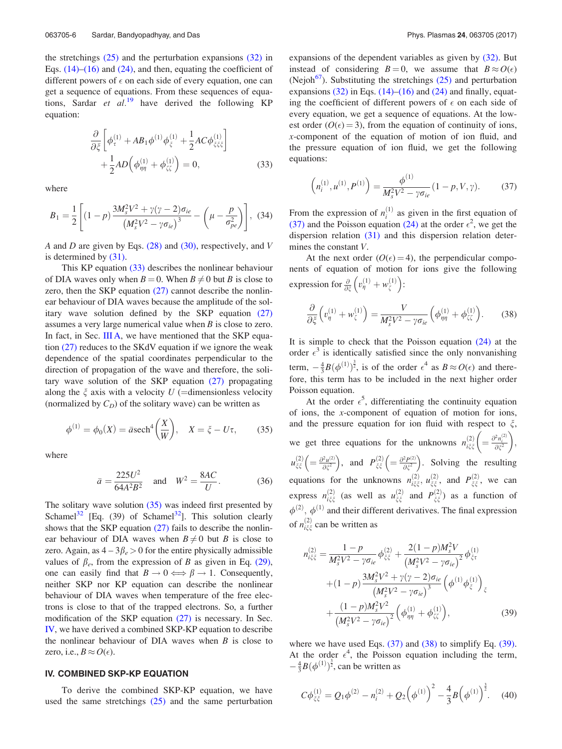the stretchings  $(25)$  and the perturbation expansions  $(32)$  in Eqs.  $(14)$ – $(16)$  and  $(24)$ , and then, equating the coefficient of different powers of  $\epsilon$  on each side of every equation, one can get a sequence of equations. From these sequences of equations, Sardar *et al.*<sup>19</sup> have derived the following KP equation:

$$
\frac{\partial}{\partial \xi} \left[ \phi_{\tau}^{(1)} + AB_1 \phi^{(1)} \phi_{\xi}^{(1)} + \frac{1}{2} AC \phi_{\xi \xi \xi}^{(1)} \right] + \frac{1}{2} AD \left( \phi_{\eta \eta}^{(1)} + \phi_{\xi \xi}^{(1)} \right) = 0, \tag{33}
$$

where

$$
B_1 = \frac{1}{2} \left[ (1-p) \frac{3M_s^2 V^2 + \gamma (\gamma - 2) \sigma_{ie}}{\left(M_s^2 V^2 - \gamma \sigma_{ie}\right)^3} - \left(\mu - \frac{p}{\sigma_{pe}^2}\right) \right], \tag{34}
$$

*A* and *D* are given by Eqs. (28) and (30), respectively, and *V* is determined by (31).

This KP equation (33) describes the nonlinear behaviour of DIA waves only when  $B = 0$ . When  $B \neq 0$  but *B* is close to zero, then the SKP equation (27) cannot describe the nonlinear behaviour of DIA waves because the amplitude of the solitary wave solution defined by the SKP equation (27) assumes a very large numerical value when *B* is close to zero. In fact, in Sec. III A, we have mentioned that the SKP equation (27) reduces to the SKdV equation if we ignore the weak dependence of the spatial coordinates perpendicular to the direction of propagation of the wave and therefore, the solitary wave solution of the SKP equation (27) propagating along the  $\xi$  axis with a velocity  $U$  (=dimensionless velocity (normalized by  $C_D$ ) of the solitary wave) can be written as

$$
\phi^{(1)} = \phi_0(X) = \bar{a} \operatorname{sech}^4\left(\frac{X}{W}\right), \quad X = \xi - U\tau, \tag{35}
$$

where

$$
\bar{a} = \frac{225U^2}{64A^2B^2}
$$
 and  $W^2 = \frac{8AC}{U}$ . (36)

The solitary wave solution  $(35)$  was indeed first presented by Schamel<sup>32</sup> [Eq. (39) of Schamel<sup>32</sup>]. This solution clearly shows that the SKP equation  $(27)$  fails to describe the nonlinear behaviour of DIA waves when  $B \neq 0$  but *B* is close to zero. Again, as  $4 - 3\beta_e > 0$  for the entire physically admissible values of  $\beta_e$ , from the expression of *B* as given in Eq. (29), one can easily find that  $B \to 0 \Longleftrightarrow \beta \to 1$ . Consequently, neither SKP nor KP equation can describe the nonlinear behaviour of DIA waves when temperature of the free electrons is close to that of the trapped electrons. So, a further modification of the SKP equation (27) is necessary. In Sec. IV, we have derived a combined SKP-KP equation to describe the nonlinear behaviour of DIA waves when *B* is close to zero, i.e.,  $B \approx O(\epsilon)$ .

## IV. COMBINED SKP-KP EQUATION

To derive the combined SKP-KP equation, we have used the same stretchings  $(25)$  and the same perturbation

expansions of the dependent variables as given by (32). But instead of considering  $B = 0$ , we assume that  $B \approx O(\epsilon)$ (Nejoh<sup>67</sup>). Substituting the stretchings  $(25)$  and perturbation expansions  $(32)$  in Eqs.  $(14)$ – $(16)$  and  $(24)$  and finally, equating the coefficient of different powers of  $\epsilon$  on each side of every equation, we get a sequence of equations. At the lowest order  $(O(\epsilon) = 3)$ , from the equation of continuity of ions, *x*-component of the equation of motion of ion fluid, and the pressure equation of ion fluid, we get the following equations:

$$
\left(n_i^{(1)}, u^{(1)}, P^{(1)}\right) = \frac{\phi^{(1)}}{M_s^2 V^2 - \gamma \sigma_{ie}} (1 - p, V, \gamma). \tag{37}
$$

From the expression of  $n_i^{(1)}$  as given in the first equation of (37) and the Poisson equation (24) at the order  $\epsilon^2$ , we get the dispersion relation (31) and this dispersion relation determines the constant *V*.

At the next order  $(O(\epsilon) = 4)$ , the perpendicular components of equation of motion for ions give the following expression for  $\frac{\partial}{\partial \xi} \left( v_{\eta}^{(1)} + w_{\zeta}^{(1)} \right)$ :

$$
\frac{\partial}{\partial \xi} \left( v_{\eta}^{(1)} + w_{\zeta}^{(1)} \right) = \frac{V}{M_s^2 V^2 - \gamma \sigma_{ie}} \left( \phi_{\eta \eta}^{(1)} + \phi_{\zeta \zeta}^{(1)} \right). \tag{38}
$$

It is simple to check that the Poisson equation (24) at the order  $\epsilon^3$  is identically satisfied since the only nonvanishing term,  $-\frac{4}{3}B(\phi^{(1)})^{\frac{3}{2}}$ , is of the order  $\epsilon^4$  as  $B \approx O(\epsilon)$  and therefore, this term has to be included in the next higher order Poisson equation.

At the order  $\epsilon^5$ , differentiating the continuity equation of ions, the *x*-component of equation of motion for ions, and the pressure equation for ion fluid with respect to  $\xi$ , we get three equations for the unknowns  $n_{i\xi\xi}^{(2)}\left(=\frac{\partial^2 n_i^{(2)}}{\partial \xi^2}\right)$ ,  $u_{\xi\xi}^{(2)}\left(=\frac{\partial^2 u^{(2)}}{\partial \xi^2}\right)$  $\left( = \frac{\partial^2 u^{(2)}}{\partial \xi^2} \right)$ , and  $P_{\xi\xi}^{(2)} \left( = \frac{\partial^2 P^{(2)}}{\partial \xi^2} \right)$  $\left( = \frac{\partial^2 P^{(2)}}{\partial \xi^2} \right)$ . Solving the resulting equations for the unknowns  $n_{i\xi\xi}^{(2)}, u_{\xi\xi}^{(2)},$  and  $P_{\xi\xi}^{(2)},$  we can express  $n_{i\xi\xi}^{(2)}$  (as well as  $u_{\xi\xi}^{(2)}$  and  $P_{\xi\xi}^{(2)}$ ) as a function of  $\phi^{(2)}$ ,  $\phi^{(1)}$  and their different derivatives. The final expression of  $n_{i\xi\xi}^{(2)}$  can be written as

$$
n_{i\xi\xi}^{(2)} = \frac{1-p}{M_s^2 V^2 - \gamma \sigma_{ie}} \phi_{\xi\xi}^{(2)} + \frac{2(1-p)M_s^2 V}{(M_s^2 V^2 - \gamma \sigma_{ie})^2} \phi_{\xi\tau}^{(1)}
$$
  
+  $(1-p) \frac{3M_s^2 V^2 + \gamma(\gamma - 2)\sigma_{ie}}{(M_s^2 V^2 - \gamma \sigma_{ie})^3} \left(\phi^{(1)} \phi_{\xi}^{(1)}\right)_{\xi}$   
+  $\frac{(1-p)M_s^2 V^2}{(M_s^2 V^2 - \gamma \sigma_{ie})^2} \left(\phi_{\eta\eta}^{(1)} + \phi_{\zeta\zeta}^{(1)}\right),$  (39)

where we have used Eqs. (37) and (38) to simplify Eq. (39). At the order  $\epsilon^4$ , the Poisson equation including the term,  $-\frac{4}{3}B(\phi^{(1)})^{\frac{3}{2}}$ , can be written as

$$
C\phi_{\xi\xi}^{(1)} = Q_1\phi^{(2)} - n_i^{(2)} + Q_2\left(\phi^{(1)}\right)^2 - \frac{4}{3}B\left(\phi^{(1)}\right)^{\frac{3}{2}}.
$$
 (40)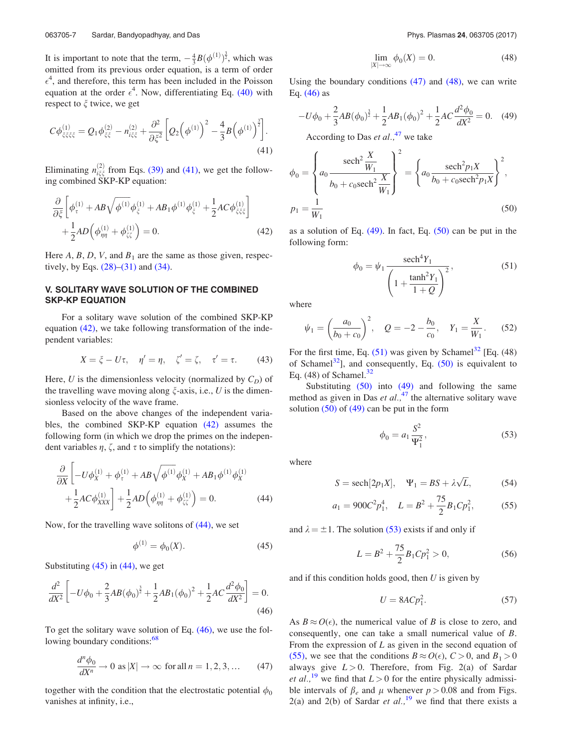It is important to note that the term,  $-\frac{4}{3}B(\phi^{(1)})^{\frac{3}{2}}$ , which was omitted from its previous order equation, is a term of order  $\epsilon^4$ , and therefore, this term has been included in the Poisson equation at the order  $\epsilon^4$ . Now, differentiating Eq. (40) with respect to  $\xi$  twice, we get

$$
C\phi_{\xi\xi\xi\xi}^{(1)} = Q_1\phi_{\xi\xi}^{(2)} - n_{i\xi\xi}^{(2)} + \frac{\partial^2}{\partial\xi^2} \left[ Q_2 \left( \phi^{(1)} \right)^2 - \frac{4}{3} B \left( \phi^{(1)} \right)^{\frac{3}{2}} \right].
$$
\n(41)

Eliminating  $n_{i\xi\xi}^{(2)}$  from Eqs. (39) and (41), we get the following combined SKP-KP equation:

$$
\frac{\partial}{\partial \xi} \left[ \phi_{\tau}^{(1)} + AB \sqrt{\phi^{(1)}} \phi_{\xi}^{(1)} + AB_1 \phi^{(1)} \phi_{\xi}^{(1)} + \frac{1}{2} AC \phi_{\xi \xi \xi}^{(1)} \right] \n+ \frac{1}{2} AD \left( \phi_{\eta \eta}^{(1)} + \phi_{\zeta \zeta}^{(1)} \right) = 0.
$$
\n(42)

Here  $A$ ,  $B$ ,  $D$ ,  $V$ , and  $B<sub>1</sub>$  are the same as those given, respectively, by Eqs. (28)–(31) and (34).

## V. SOLITARY WAVE SOLUTION OF THE COMBINED SKP-KP EQUATION

For a solitary wave solution of the combined SKP-KP equation (42), we take following transformation of the independent variables:

$$
X = \xi - U\tau, \quad \eta' = \eta, \quad \zeta' = \zeta, \quad \tau' = \tau. \tag{43}
$$

Here,  $U$  is the dimensionless velocity (normalized by  $C_D$ ) of the travelling wave moving along  $\xi$ -axis, i.e.,  $U$  is the dimensionless velocity of the wave frame.

Based on the above changes of the independent variables, the combined SKP-KP equation (42) assumes the following form (in which we drop the primes on the independent variables  $\eta$ ,  $\zeta$ , and  $\tau$  to simplify the notations):

$$
\frac{\partial}{\partial X} \left[ -U\phi_X^{(1)} + \phi_\tau^{(1)} + AB\sqrt{\phi^{(1)}}\phi_X^{(1)} + AB_1\phi^{(1)}\phi_X^{(1)} + \frac{1}{2}AC\phi_{XXX}^{(1)} \right] + \frac{1}{2}AD\left(\phi_{\eta\eta}^{(1)} + \phi_{\zeta\zeta}^{(1)}\right) = 0.
$$
\n(44)

Now, for the travelling wave solitons of (44), we set

$$
\phi^{(1)} = \phi_0(X). \tag{45}
$$

Substituting  $(45)$  in  $(44)$ , we get

$$
\frac{d^2}{dX^2} \left[ -U\phi_0 + \frac{2}{3}AB(\phi_0)^{\frac{3}{2}} + \frac{1}{2}AB_1(\phi_0)^2 + \frac{1}{2}AC\frac{d^2\phi_0}{dX^2} \right] = 0.
$$
\n(46)

To get the solitary wave solution of Eq. (46), we use the following boundary conditions:<sup>68</sup>

$$
\frac{d^n \phi_0}{dX^n} \to 0 \text{ as } |X| \to \infty \text{ for all } n = 1, 2, 3, \dots \tag{47}
$$

together with the condition that the electrostatic potential  $\phi_0$ vanishes at infinity, i.e.,

$$
\lim_{|X| \to \infty} \phi_0(X) = 0. \tag{48}
$$

Using the boundary conditions  $(47)$  and  $(48)$ , we can write Eq. (46) as

$$
-U\phi_0 + \frac{2}{3}AB(\phi_0)^{\frac{3}{2}} + \frac{1}{2}AB_1(\phi_0)^2 + \frac{1}{2}AC\frac{d^2\phi_0}{dX^2} = 0.
$$
 (49)

According to Das *et al.*,<sup>47</sup> we take

$$
\phi_0 = \left\{ a_0 \frac{\text{sech}^2 \frac{X}{W_1}}{b_0 + c_0 \text{sech}^2 \frac{X}{W_1}} \right\}^2 = \left\{ a_0 \frac{\text{sech}^2 p_1 X}{b_0 + c_0 \text{sech}^2 p_1 X} \right\}^2,
$$
\n
$$
p_1 = \frac{1}{W_1}
$$
\n(50)

as a solution of Eq.  $(49)$ . In fact, Eq.  $(50)$  can be put in the following form:

$$
\phi_0 = \psi_1 \frac{\text{sech}^4 Y_1}{\left(1 + \frac{\tanh^2 Y_1}{1 + Q}\right)^2},
$$
\n(51)

where

$$
\psi_1 = \left(\frac{a_0}{b_0 + c_0}\right)^2
$$
,  $Q = -2 - \frac{b_0}{c_0}$ ,  $Y_1 = \frac{X}{W_1}$ . (52)

For the first time, Eq.  $(51)$  was given by Schamel<sup>32</sup> [Eq.  $(48)$ ] of Schamel<sup>32</sup>], and consequently, Eq.  $(50)$  is equivalent to Eq.  $(48)$  of Schamel.<sup>32</sup>

Substituting  $(50)$  into  $(49)$  and following the same method as given in Das *et al.*,<sup>47</sup> the alternative solitary wave solution  $(50)$  of  $(49)$  can be put in the form

$$
\phi_0 = a_1 \frac{S^2}{\Psi_1^2},\tag{53}
$$

where

$$
S = sech[2p_1X], \quad \Psi_1 = BS + \lambda \sqrt{L}, \tag{54}
$$

$$
a_1 = 900C^2 p_1^4, \quad L = B^2 + \frac{75}{2} B_1 C p_1^2,\tag{55}
$$

and  $\lambda = \pm 1$ . The solution (53) exists if and only if

$$
L = B^2 + \frac{75}{2}B_1 C p_1^2 > 0,
$$
\n(56)

and if this condition holds good, then *U* is given by

$$
U = 8ACp_1^2. \tag{57}
$$

As  $B \approx O(\epsilon)$ , the numerical value of *B* is close to zero, and consequently, one can take a small numerical value of *B*. From the expression of *L* as given in the second equation of (55), we see that the conditions  $B \approx O(\epsilon)$ ,  $C > 0$ , and  $B_1 > 0$ always give *L* > 0. Therefore, from Fig. 2(a) of Sardar *et al.*,<sup>19</sup> we find that  $L > 0$  for the entire physically admissible intervals of  $\beta_e$  and  $\mu$  whenever  $p > 0.08$  and from Figs.  $2(a)$  and  $2(b)$  of Sardar *et al.*,<sup>19</sup> we find that there exists a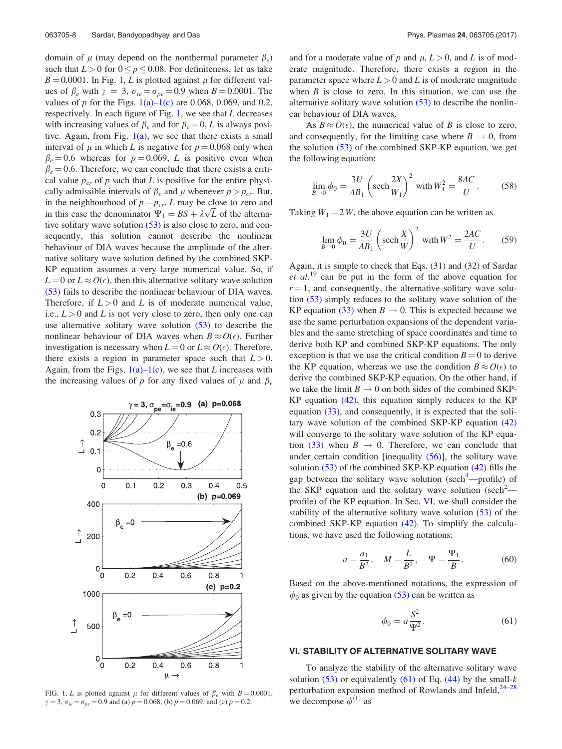domain of  $\mu$  (may depend on the nonthermal parameter  $\beta_e$ ) such that  $L > 0$  for  $0 \le p \le 0.08$ . For definiteness, let us take  $B = 0.0001$ . In Fig. 1, *L* is plotted against  $\mu$  for different values of  $\beta_e$  with  $\gamma = 3$ ,  $\sigma_{ie} = \sigma_{ne} = 0.9$  when  $B = 0.0001$ . The values of *p* for the Figs.  $1(a)-1(c)$  are 0.068, 0.069, and 0.2, respectively. In each figure of Fig. 1, we see that *L* decreases with increasing values of  $\beta_e$  and for  $\beta_e = 0$ , *L* is always positive. Again, from Fig.  $1(a)$ , we see that there exists a small interval of  $\mu$  in which *L* is negative for  $p = 0.068$  only when  $\beta_e = 0.6$  whereas for  $p = 0.069$ , *L* is positive even when  $\beta_e = 0.6$ . Therefore, we can conclude that there exists a critical value  $p_{cr}$  of  $p$  such that  $L$  is positive for the entire physically admissible intervals of  $\beta_e$  and  $\mu$  whenever  $p > p_{cr}$ . But, in the neighbourhood of  $p = p_{cr}$ , *L* may be close to zero and in this case the denominator  $\Psi_1 = BS + \lambda \sqrt{L}$  of the alternative solitary wave solution (53) is also close to zero, and consequently, this solution cannot describe the nonlinear behaviour of DIA waves because the amplitude of the alternative solitary wave solution defined by the combined SKP-KP equation assumes a very large numerical value. So, if  $L = 0$  or  $L \approx O(\epsilon)$ , then this alternative solitary wave solution (53) fails to describe the nonlinear behaviour of DIA waves. Therefore, if  $L > 0$  and  $L$  is of moderate numerical value, i.e.,  $L > 0$  and *L* is not very close to zero, then only one can use alternative solitary wave solution (53) to describe the nonlinear behaviour of DIA waves when  $B \approx O(\epsilon)$ . Further investigation is necessary when  $L = 0$  or  $L \approx O(\epsilon)$ . Therefore, there exists a region in parameter space such that  $L > 0$ . Again, from the Figs.  $1(a)-1(c)$ , we see that *L* increases with the increasing values of  $p$  for any fixed values of  $\mu$  and  $\beta_e$ 



FIG. 1. *L* is plotted against  $\mu$  for different values of  $\beta_e$  with  $B = 0.0001$ ,  $\gamma = 3$ ,  $\sigma_{ie} = \sigma_{pe} = 0.9$  and (a)  $p = 0.068$ , (b)  $p = 0.069$ , and (c)  $p = 0.2$ .

and for a moderate value of p and  $\mu$ ,  $L > 0$ , and L is of moderate magnitude. Therefore, there exists a region in the parameter space where  $L > 0$  and  $L$  is of moderate magnitude when *B* is close to zero. In this situation, we can use the alternative solitary wave solution (53) to describe the nonlinear behaviour of DIA waves.

As  $B \approx O(\epsilon)$ , the numerical value of *B* is close to zero, and consequently, for the limiting case where  $B \to 0$ , from the solution  $(53)$  of the combined SKP-KP equation, we get the following equation:

$$
\lim_{B \to 0} \phi_0 = \frac{3U}{AB_1} \left( \operatorname{sech} \frac{2X}{W_1} \right)^2 \text{ with } W_1^2 = \frac{8AC}{U}.
$$
 (58)

Taking  $W_1 = 2W$ , the above equation can be written as

$$
\lim_{B \to 0} \phi_0 = \frac{3U}{AB_1} \left( \operatorname{sech} \frac{X}{W} \right)^2 \text{ with } W^2 = \frac{2AC}{U}. \tag{59}
$$

Again, it is simple to check that Eqs. (31) and (32) of Sardar *et al.*<sup>19</sup> can be put in the form of the above equation for  $r = 1$ , and consequently, the alternative solitary wave solution (53) simply reduces to the solitary wave solution of the KP equation (33) when  $B \rightarrow 0$ . This is expected because we use the same perturbation expansions of the dependent variables and the same stretching of space coordinates and time to derive both KP and combined SKP-KP equations. The only exception is that we use the critical condition  $B = 0$  to derive the KP equation, whereas we use the condition  $B \approx O(\epsilon)$  to derive the combined SKP-KP equation. On the other hand, if we take the limit  $B \to 0$  on both sides of the combined SKP-KP equation (42), this equation simply reduces to the KP equation (33), and consequently, it is expected that the solitary wave solution of the combined SKP-KP equation (42) will converge to the solitary wave solution of the KP equation (33) when  $B \rightarrow 0$ . Therefore, we can conclude that under certain condition [inequality  $(56)$ ], the solitary wave solution (53) of the combined SKP-KP equation (42) fills the gap between the solitary wave solution (sech<sup>4</sup>—profile) of the SKP equation and the solitary wave solution (sech<sup>2</sup> profile) of the KP equation. In Sec. VI, we shall consider the stability of the alternative solitary wave solution (53) of the combined SKP-KP equation (42). To simplify the calculations, we have used the following notations:

$$
a = \frac{a_1}{B^2}
$$
,  $M = \frac{L}{B^2}$ ,  $\Psi = \frac{\Psi_1}{B}$ . (60)

Based on the above-mentioned notations, the expression of  $\phi_0$  as given by the equation (53) can be written as

$$
\phi_0 = a \frac{S^2}{\Psi^2}.
$$
\n(61)

## VI. STABILITY OF ALTERNATIVE SOLITARY WAVE

To analyze the stability of the alternative solitary wave solution (53) or equivalently (61) of Eq. (44) by the small-*k* perturbation expansion method of Rowlands and Infeld, $24-28$ we decompose  $\phi^{(1)}$  as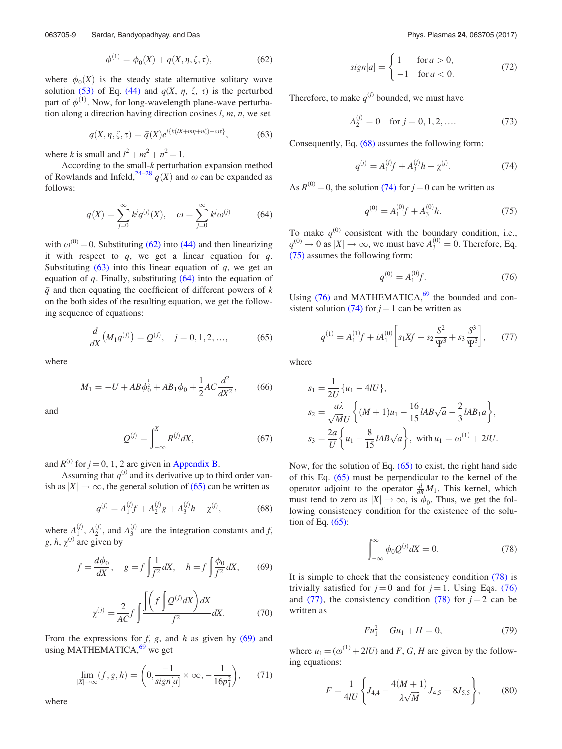$$
\phi^{(1)} = \phi_0(X) + q(X, \eta, \zeta, \tau), \tag{62}
$$

where  $\phi_0(X)$  is the steady state alternative solitary wave solution (53) of Eq. (44) and  $q(X, \eta, \zeta, \tau)$  is the perturbed part of  $\phi^{(1)}$ . Now, for long-wavelength plane-wave perturbation along a direction having direction cosines *l*, *m*, *n*, we set

$$
q(X, \eta, \zeta, \tau) = \bar{q}(X)e^{i\{k(X + m\eta + n\zeta) - \omega\tau\}},
$$
\n(63)

where *k* is small and  $l^2 + m^2 + n^2 = 1$ .

According to the small-*k* perturbation expansion method of Rowlands and Infeld,  $2^{4-28}$   $\bar{q}(X)$  and  $\omega$  can be expanded as follows:

$$
\bar{q}(X) = \sum_{j=0}^{\infty} k^j q^{(j)}(X), \quad \omega = \sum_{j=0}^{\infty} k^j \omega^{(j)} \tag{64}
$$

with  $\omega^{(0)} = 0$ . Substituting (62) into (44) and then linearizing it with respect to *q*, we get a linear equation for *q*. Substituting  $(63)$  into this linear equation of *q*, we get an equation of  $\bar{q}$ . Finally, substituting (64) into the equation of  $\bar{q}$  and then equating the coefficient of different powers of *k* on the both sides of the resulting equation, we get the following sequence of equations:

$$
\frac{d}{dX}\big(M_1 q^{(j)}\big) = Q^{(j)}, \quad j = 0, 1, 2, \dots,\tag{65}
$$

where

$$
M_1 = -U + AB\phi_0^{\frac{1}{2}} + AB_1\phi_0 + \frac{1}{2}AC\frac{d^2}{dX^2},
$$
 (66)

and

$$
Q^{(j)} = \int_{-\infty}^{X} R^{(j)} dX, \qquad (67)
$$

and  $R^{(j)}$  for  $j = 0, 1, 2$  are given in Appendix B.

Assuming that  $q^{(j)}$  and its derivative up to third order vanish as  $|X| \to \infty$ , the general solution of (65) can be written as

$$
q^{(j)} = A_1^{(j)}f + A_2^{(j)}g + A_3^{(j)}h + \chi^{(j)},
$$
 (68)

where  $A_1^{(j)}$ ,  $A_2^{(j)}$ , and  $A_3^{(j)}$  are the integration constants and *f*,  $g, h, \chi^{(j)}$  are given by

$$
f = \frac{d\phi_0}{dX}, \quad g = f\int \frac{1}{f^2} dX, \quad h = f\int \frac{\phi_0}{f^2} dX, \quad (69)
$$

$$
\chi^{(j)} = \frac{2}{AC} f \int \frac{\int \left(f \int Q^{(j)} dX\right) dX}{f^2} dX. \tag{70}
$$

From the expressions for  $f$ ,  $g$ , and  $h$  as given by (69) and using MATHEMATICA, $^{69}$  we get

$$
\lim_{|X| \to \infty} (f, g, h) = \left(0, \frac{-1}{sign[a]} \times \infty, -\frac{1}{16p_1^2}\right), \qquad (71)
$$

$$
sign[a] = \begin{cases} 1 & \text{for } a > 0, \\ -1 & \text{for } a < 0. \end{cases}
$$
 (72)

Therefore, to make  $q^{(j)}$  bounded, we must have

$$
A_2^{(j)} = 0 \quad \text{for } j = 0, 1, 2, \dots \tag{73}
$$

Consequently, Eq. (68) assumes the following form:

$$
q^{(j)} = A_1^{(j)}f + A_3^{(j)}h + \chi^{(j)}.
$$
 (74)

As  $R^{(0)} = 0$ , the solution (74) for  $j = 0$  can be written as

$$
q^{(0)} = A_1^{(0)}f + A_3^{(0)}h.
$$
 (75)

To make  $q^{(0)}$  consistent with the boundary condition, i.e.,  $q^{(0)} \to 0$  as  $|X| \to \infty$ , we must have  $A_3^{(0)} = 0$ . Therefore, Eq. (75) assumes the following form:

$$
q^{(0)} = A_1^{(0)}f.
$$
 (76)

Using  $(76)$  and MATHEMATICA,<sup>69</sup> the bounded and consistent solution (74) for  $j = 1$  can be written as

$$
q^{(1)} = A_1^{(1)}f + iA_1^{(0)} \left[ s_1 X f + s_2 \frac{S^2}{\Psi^3} + s_3 \frac{S^3}{\Psi^3} \right], \qquad (77)
$$

where

$$
s_1 = \frac{1}{2U} \{u_1 - 4iU\},
$$
  
\n
$$
s_2 = \frac{a\lambda}{\sqrt{M}U} \left\{ (M+1)u_1 - \frac{16}{15}lAB\sqrt{a} - \frac{2}{3}lAB_1a \right\},
$$
  
\n
$$
s_3 = \frac{2a}{U} \left\{ u_1 - \frac{8}{15}lAB\sqrt{a} \right\}, \text{ with } u_1 = \omega^{(1)} + 2lU.
$$

Now, for the solution of Eq.  $(65)$  to exist, the right hand side of this Eq. (65) must be perpendicular to the kernel of the operator adjoint to the operator  $\frac{d}{dX}M_1$ . This kernel, which must tend to zero as  $|X| \to \infty$ , is  $\phi_0$ . Thus, we get the following consistency condition for the existence of the solution of Eq.  $(65)$ :

$$
\int_{-\infty}^{\infty} \phi_0 Q^{(j)} dX = 0.
$$
 (78)

It is simple to check that the consistency condition (78) is trivially satisfied for  $j = 0$  and for  $j = 1$ . Using Eqs. (76) and (77), the consistency condition (78) for  $j = 2$  can be written as

$$
Fu_1^2 + Gu_1 + H = 0,\t(79)
$$

where  $u_1 = (\omega^{(1)} + 2lU)$  and *F*, *G*, *H* are given by the following equations:

$$
F = \frac{1}{4lU} \left\{ J_{4,4} - \frac{4(M+1)}{\lambda \sqrt{M}} J_{4,5} - 8J_{5,5} \right\},\tag{80}
$$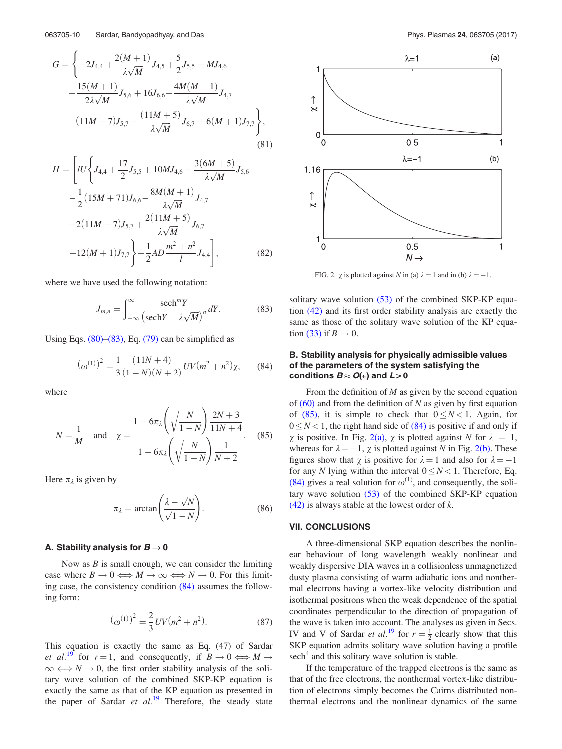$$
G = \left\{-2J_{4,4} + \frac{2(M+1)}{\lambda\sqrt{M}}J_{4,5} + \frac{5}{2}J_{5,5} - MJ_{4,6} + \frac{15(M+1)}{2\lambda\sqrt{M}}J_{5,6} + 16J_{6,6} + \frac{4M(M+1)}{\lambda\sqrt{M}}J_{4,7} + (11M-7)J_{5,7} - \frac{(11M+5)}{\lambda\sqrt{M}}J_{6,7} - 6(M+1)J_{7,7}\right\},\tag{81}
$$

$$
H = \left[ lU \left\{ J_{4,4} + \frac{17}{2} J_{5,5} + 10MJ_{4,6} - \frac{3(6M+5)}{\lambda \sqrt{M}} J_{5,6} \right. \right.\left. - \frac{1}{2} (15M + 71)J_{6,6} - \frac{8M(M+1)}{\lambda \sqrt{M}} J_{4,7} \right.\left. - 2(11M - 7)J_{5,7} + \frac{2(11M+5)}{\lambda \sqrt{M}} J_{6,7} \right.\left. + 12(M+1)J_{7,7} \right\} + \frac{1}{2} AD \frac{m^2 + n^2}{l} J_{4,4} \right],\tag{82}
$$

where we have used the following notation:

$$
J_{m,n} = \int_{-\infty}^{\infty} \frac{\mathrm{sech}^m Y}{\left(\mathrm{sech}Y + \lambda \sqrt{M}\right)^n} dY.
$$
 (83)

Using Eqs.  $(80)$ – $(83)$ , Eq.  $(79)$  can be simplified as

$$
(\omega^{(1)})^2 = \frac{1}{3} \frac{(11N+4)}{(1-N)(N+2)} UV(m^2+n^2) \chi,
$$
 (84)

where

$$
N = \frac{1}{M} \text{ and } \chi = \frac{1 - 6\pi \sqrt{\sqrt{\frac{N}{1 - N}}} \frac{2N + 3}{11N + 4}}{1 - 6\pi \sqrt{\sqrt{\frac{N}{1 - N}}} \frac{1}{N + 2}}.
$$
 (85)

Here  $\pi_{\lambda}$  is given by

$$
\pi_{\lambda} = \arctan\left(\frac{\lambda - \sqrt{N}}{\sqrt{1 - N}}\right).
$$
 (86)

### A. Stability analysis for  $B \rightarrow 0$

Now as *B* is small enough, we can consider the limiting case where  $B \to 0 \Longleftrightarrow M \to \infty \Longleftrightarrow N \to 0$ . For this limiting case, the consistency condition (84) assumes the following form:

$$
(\omega^{(1)})^2 = \frac{2}{3}UV(m^2 + n^2). \tag{87}
$$

This equation is exactly the same as Eq. (47) of Sardar *et al.*<sup>19</sup> for  $r = 1$ , and consequently, if  $B \to 0 \Longleftrightarrow M \to$  $\infty \Longleftrightarrow N \rightarrow 0$ , the first order stability analysis of the solitary wave solution of the combined SKP-KP equation is exactly the same as that of the KP equation as presented in the paper of Sardar *et al.*<sup>19</sup> Therefore, the steady state



FIG. 2.  $\chi$  is plotted against *N* in (a)  $\lambda = 1$  and in (b)  $\lambda = -1$ .

solitary wave solution (53) of the combined SKP-KP equation (42) and its first order stability analysis are exactly the same as those of the solitary wave solution of the KP equation (33) if  $B \rightarrow 0$ .

## B. Stability analysis for physically admissible values of the parameters of the system satisfying the conditions  $B \approx O(\epsilon)$  and  $L > 0$

From the definition of *M* as given by the second equation of (60) and from the definition of *N* as given by first equation of (85), it is simple to check that  $0 \le N < 1$ . Again, for  $0 \leq N < 1$ , the right hand side of (84) is positive if and only if  $\chi$  is positive. In Fig. 2(a),  $\chi$  is plotted against *N* for  $\lambda = 1$ , whereas for  $\lambda = -1$ ,  $\chi$  is plotted against *N* in Fig. 2(b). These figures show that  $\chi$  is positive for  $\lambda = 1$  and also for  $\lambda = -1$ for any *N* lying within the interval  $0 \le N \le 1$ . Therefore, Eq. (84) gives a real solution for  $\omega^{(1)}$ , and consequently, the solitary wave solution (53) of the combined SKP-KP equation (42) is always stable at the lowest order of *k*.

#### VII. CONCLUSIONS

A three-dimensional SKP equation describes the nonlinear behaviour of long wavelength weakly nonlinear and weakly dispersive DIA waves in a collisionless unmagnetized dusty plasma consisting of warm adiabatic ions and nonthermal electrons having a vortex-like velocity distribution and isothermal positrons when the weak dependence of the spatial coordinates perpendicular to the direction of propagation of the wave is taken into account. The analyses as given in Secs. IV and V of Sardar *et al.*<sup>19</sup> for  $r = \frac{1}{2}$  clearly show that this SKP equation admits solitary wave solution having a profile sech<sup>4</sup> and this solitary wave solution is stable.

If the temperature of the trapped electrons is the same as that of the free electrons, the nonthermal vortex-like distribution of electrons simply becomes the Cairns distributed nonthermal electrons and the nonlinear dynamics of the same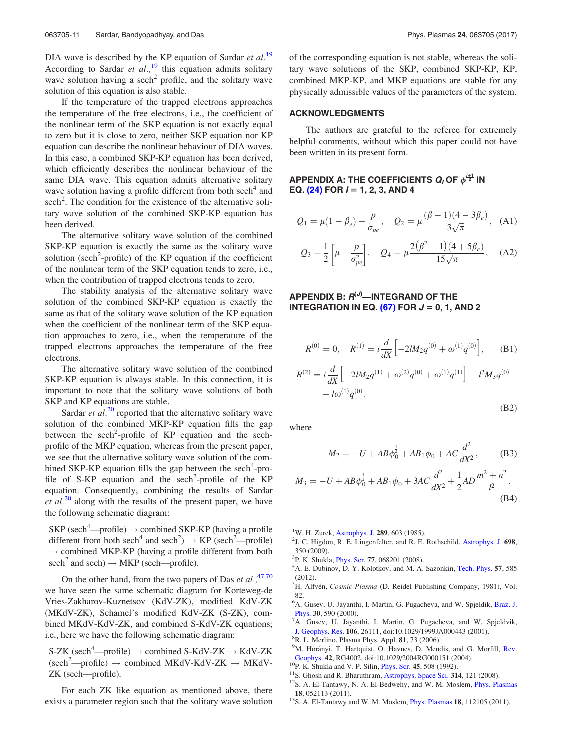DIA wave is described by the KP equation of Sardar *et al.*<sup>19</sup> According to Sardar et al.,<sup>19</sup> this equation admits solitary wave solution having a sech<sup>2</sup> profile, and the solitary wave solution of this equation is also stable.

If the temperature of the trapped electrons approaches the temperature of the free electrons, i.e., the coefficient of the nonlinear term of the SKP equation is not exactly equal to zero but it is close to zero, neither SKP equation nor KP equation can describe the nonlinear behaviour of DIA waves. In this case, a combined SKP-KP equation has been derived, which efficiently describes the nonlinear behaviour of the same DIA wave. This equation admits alternative solitary wave solution having a profile different from both sech<sup>4</sup> and sech<sup>2</sup>. The condition for the existence of the alternative solitary wave solution of the combined SKP-KP equation has been derived.

The alternative solitary wave solution of the combined SKP-KP equation is exactly the same as the solitary wave solution (sech<sup>2</sup>-profile) of the KP equation if the coefficient of the nonlinear term of the SKP equation tends to zero, i.e., when the contribution of trapped electrons tends to zero.

The stability analysis of the alternative solitary wave solution of the combined SKP-KP equation is exactly the same as that of the solitary wave solution of the KP equation when the coefficient of the nonlinear term of the SKP equation approaches to zero, i.e., when the temperature of the trapped electrons approaches the temperature of the free electrons.

The alternative solitary wave solution of the combined SKP-KP equation is always stable. In this connection, it is important to note that the solitary wave solutions of both SKP and KP equations are stable.

Sardar *et al.*<sup>20</sup> reported that the alternative solitary wave solution of the combined MKP-KP equation fills the gap between the  $\text{sech}^2$ -profile of KP equation and the sechprofile of the MKP equation, whereas from the present paper, we see that the alternative solitary wave solution of the combined SKP-KP equation fills the gap between the sech<sup>4</sup>-profile of S-KP equation and the  $sech^2$ -profile of the KP equation. Consequently, combining the results of Sardar *et al.*<sup>20</sup> along with the results of the present paper, we have the following schematic diagram:

 $SKP$  (sech<sup>4</sup>—profile)  $\rightarrow$  combined SKP-KP (having a profile different from both sech<sup>4</sup> and sech<sup>2</sup>)  $\rightarrow$  KP (sech<sup>2</sup>—profile)  $\rightarrow$  combined MKP-KP (having a profile different from both  $sech<sup>2</sup>$  and  $sech$   $\rightarrow$  MKP (sech—profile).

On the other hand, from the two papers of Das *et al.*,<sup>47,70</sup> we have seen the same schematic diagram for Korteweg-de Vries-Zakharov-Kuznetsov (KdV-ZK), modified KdV-ZK (MKdV-ZK), Schamel's modified KdV-ZK (S-ZK), combined MKdV-KdV-ZK, and combined S-KdV-ZK equations; i.e., here we have the following schematic diagram:

S-ZK (sech<sup>4</sup>—profile)  $\rightarrow$  combined S-KdV-ZK  $\rightarrow$  KdV-ZK  $(\text{sech}^2$ —profile)  $\rightarrow$  combined MKdV-KdV-ZK  $\rightarrow$  MKdV-ZK (sech—profile).

For each ZK like equation as mentioned above, there exists a parameter region such that the solitary wave solution of the corresponding equation is not stable, whereas the solitary wave solutions of the SKP, combined SKP-KP, KP, combined MKP-KP, and MKP equations are stable for any physically admissible values of the parameters of the system.

## ACKNOWLEDGMENTS

The authors are grateful to the referee for extremely helpful comments, without which this paper could not have been written in its present form.

APPENDIX A: THE COEFFICIENTS  $\bm{Q_l}$  OF  $\phi^{\frac{l+1}{2}}$  in EQ.  $(24)$  FOR  $I = 1, 2, 3,$  AND 4

$$
Q_1 = \mu(1 - \beta_e) + \frac{p}{\sigma_{pe}}, \quad Q_2 = \mu \frac{(\beta - 1)(4 - 3\beta_e)}{3\sqrt{\pi}},
$$
 (A1)

$$
Q_3 = \frac{1}{2} \left[ \mu - \frac{p}{\sigma_{pe}^2} \right], \quad Q_4 = \mu \frac{2(\beta^2 - 1)(4 + 5\beta_e)}{15\sqrt{\pi}}, \quad (A2)
$$

APPENDIX B:  $R^{(J)}$ —INTEGRAND OF THE INTEGRATION IN EQ. (67) FOR  $J = 0, 1,$  AND 2

$$
R^{(0)} = 0, \quad R^{(1)} = i\frac{d}{dX} \left[ -2lM_2 q^{(0)} + \omega^{(1)} q^{(0)} \right], \quad (B1)
$$

$$
R^{(2)} = i \frac{d}{dX} \left[ -2lM_2 q^{(1)} + \omega^{(2)} q^{(0)} + \omega^{(1)} q^{(1)} \right] + l^2 M_3 q^{(0)} - l\omega^{(1)} q^{(0)}.
$$

where

$$
M_2 = -U + AB\phi_0^{\frac{1}{2}} + AB_1\phi_0 + AC\frac{d^2}{dX^2},
$$
 (B3)

(B2)

$$
M_3 = -U + AB\phi_0^{\frac{1}{2}} + AB_1\phi_0 + 3AC\frac{d^2}{dX^2} + \frac{1}{2}AD\frac{m^2 + n^2}{l^2}.
$$
\n(B4)

- <sup>1</sup>W. H. Zurek, Astrophys. J. 289, 603 (1985).
- <sup>2</sup>J. C. Higdon, R. E. Lingenfelter, and R. E. Rothschild, Astrophys. J. 698, 350 (2009).
- <sup>3</sup>P. K. Shukla, *Phys. Scr.* 77, 068201 (2008).
- <sup>4</sup>A. E. Dubinov, D. Y. Kolotkov, and M. A. Sazonkin, Tech. Phys. 57, 585  $(2012)$
- <sup>5</sup>H. Alfvén, *Cosmic Plasma* (D. Reidel Publishing Company, 1981), Vol. 82.
- <sup>6</sup>A. Gusev, U. Jayanthi, I. Martin, G. Pugacheva, and W. Spjeldik, Braz. J. Phys. 30, 590 (2000).
- <sup>7</sup>A. Gusev, U. Jayanthi, I. Martin, G. Pugacheva, and W. Spjeldvik, J. Geophys. Res. 106, 26111, doi:10.1029/1999JA000443 (2001).
- ${}^{8}$ R. L. Merlino, Plasma Phys. Appl. 81, 73 (2006).
- <sup>9</sup>M. Horányi, T. Hartquist, O. Havnes, D. Mendis, and G. Morfill, Rev. Geophys. 42, RG4002, doi:10.1029/2004RG000151 (2004).
- $^{10}P$ . K. Shukla and V. P. Silin, *Phys. Scr.* 45, 508 (1992).
- <sup>11</sup>S. Ghosh and R. Bharuthram, Astrophys. Space Sci. 314, 121 (2008).
- <sup>12</sup>S. A. El-Tantawy, N. A. El-Bedwehy, and W. M. Moslem, *Phys. Plasmas* 18, 052113 (2011).
- <sup>13</sup>S. A. El-Tantawy and W. M. Moslem, *Phys. Plasmas* **18**, 112105 (2011).